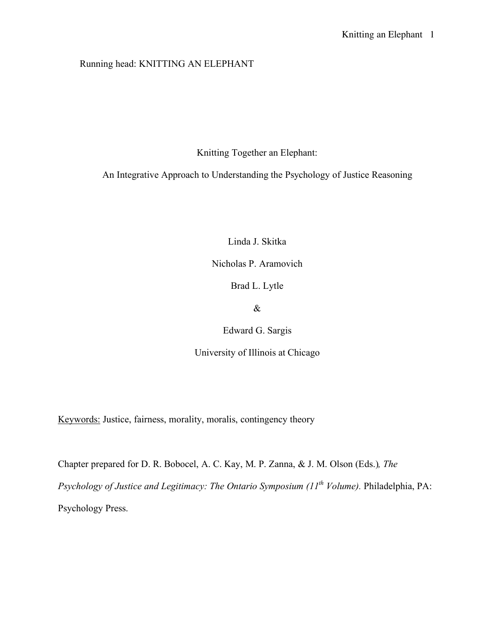## Running head: KNITTING AN ELEPHANT

Knitting Together an Elephant:

An Integrative Approach to Understanding the Psychology of Justice Reasoning

Linda J. Skitka

Nicholas P. Aramovich

Brad L. Lytle

&

Edward G. Sargis

University of Illinois at Chicago

Keywords: Justice, fairness, morality, moralis, contingency theory

Chapter prepared for D. R. Bobocel, A. C. Kay, M. P. Zanna, & J. M. Olson (Eds.)*, The* 

*Psychology of Justice and Legitimacy: The Ontario Symposium (11<sup>th</sup> Volume). Philadelphia, PA:* Psychology Press.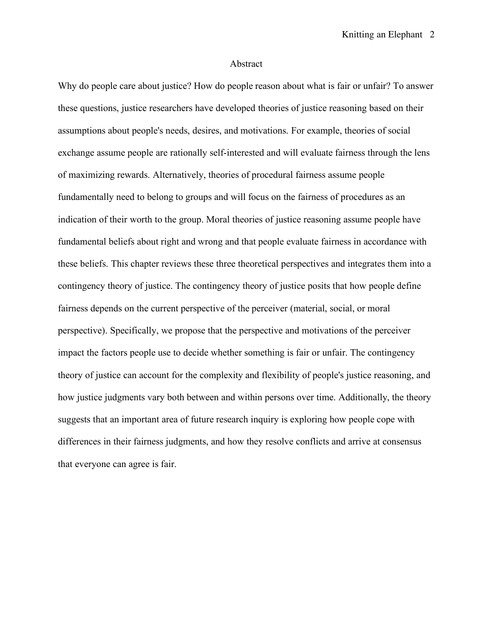## Abstract

Why do people care about justice? How do people reason about what is fair or unfair? To answer these questions, justice researchers have developed theories of justice reasoning based on their assumptions about people's needs, desires, and motivations. For example, theories of social exchange assume people are rationally self-interested and will evaluate fairness through the lens of maximizing rewards. Alternatively, theories of procedural fairness assume people fundamentally need to belong to groups and will focus on the fairness of procedures as an indication of their worth to the group. Moral theories of justice reasoning assume people have fundamental beliefs about right and wrong and that people evaluate fairness in accordance with these beliefs. This chapter reviews these three theoretical perspectives and integrates them into a contingency theory of justice. The contingency theory of justice posits that how people define fairness depends on the current perspective of the perceiver (material, social, or moral perspective). Specifically, we propose that the perspective and motivations of the perceiver impact the factors people use to decide whether something is fair or unfair. The contingency theory of justice can account for the complexity and flexibility of people's justice reasoning, and how justice judgments vary both between and within persons over time. Additionally, the theory suggests that an important area of future research inquiry is exploring how people cope with differences in their fairness judgments, and how they resolve conflicts and arrive at consensus that everyone can agree is fair.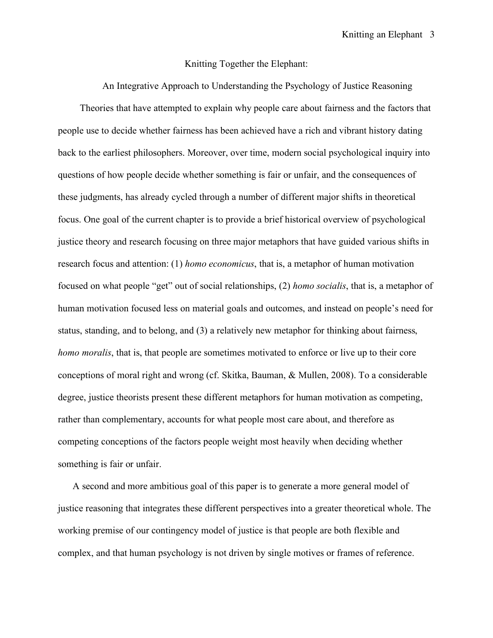## Knitting Together the Elephant:

An Integrative Approach to Understanding the Psychology of Justice Reasoning Theories that have attempted to explain why people care about fairness and the factors that people use to decide whether fairness has been achieved have a rich and vibrant history dating back to the earliest philosophers. Moreover, over time, modern social psychological inquiry into questions of how people decide whether something is fair or unfair, and the consequences of these judgments, has already cycled through a number of different major shifts in theoretical focus. One goal of the current chapter is to provide a brief historical overview of psychological justice theory and research focusing on three major metaphors that have guided various shifts in research focus and attention: (1) *homo economicus*, that is, a metaphor of human motivation focused on what people "get" out of social relationships, (2) *homo socialis*, that is, a metaphor of human motivation focused less on material goals and outcomes, and instead on people's need for status, standing, and to belong, and (3) a relatively new metaphor for thinking about fairness, *homo moralis*, that is, that people are sometimes motivated to enforce or live up to their core conceptions of moral right and wrong (cf. Skitka, Bauman, & Mullen, 2008). To a considerable degree, justice theorists present these different metaphors for human motivation as competing, rather than complementary, accounts for what people most care about, and therefore as competing conceptions of the factors people weight most heavily when deciding whether something is fair or unfair.

 A second and more ambitious goal of this paper is to generate a more general model of justice reasoning that integrates these different perspectives into a greater theoretical whole. The working premise of our contingency model of justice is that people are both flexible and complex, and that human psychology is not driven by single motives or frames of reference.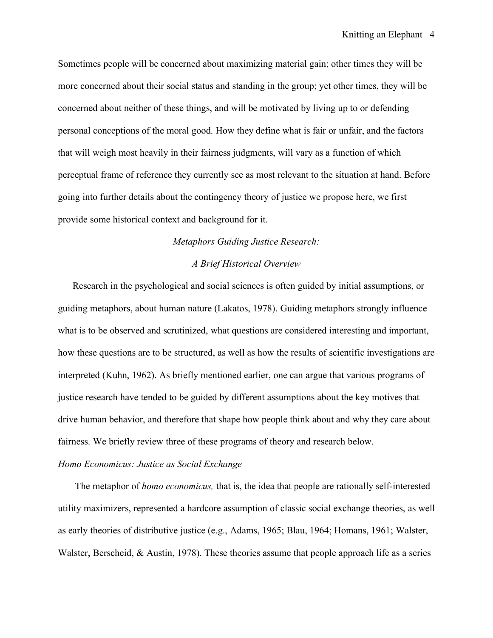Sometimes people will be concerned about maximizing material gain; other times they will be more concerned about their social status and standing in the group; yet other times, they will be concerned about neither of these things, and will be motivated by living up to or defending personal conceptions of the moral good. How they define what is fair or unfair, and the factors that will weigh most heavily in their fairness judgments, will vary as a function of which perceptual frame of reference they currently see as most relevant to the situation at hand. Before going into further details about the contingency theory of justice we propose here, we first provide some historical context and background for it.

## *Metaphors Guiding Justice Research:*

## *A Brief Historical Overview*

 Research in the psychological and social sciences is often guided by initial assumptions, or guiding metaphors, about human nature (Lakatos, 1978). Guiding metaphors strongly influence what is to be observed and scrutinized, what questions are considered interesting and important, how these questions are to be structured, as well as how the results of scientific investigations are interpreted (Kuhn, 1962). As briefly mentioned earlier, one can argue that various programs of justice research have tended to be guided by different assumptions about the key motives that drive human behavior, and therefore that shape how people think about and why they care about fairness. We briefly review three of these programs of theory and research below.

#### *Homo Economicus: Justice as Social Exchange*

 The metaphor of *homo economicus,* that is, the idea that people are rationally self-interested utility maximizers, represented a hardcore assumption of classic social exchange theories, as well as early theories of distributive justice (e.g., Adams, 1965; Blau, 1964; Homans, 1961; Walster, Walster, Berscheid, & Austin, 1978). These theories assume that people approach life as a series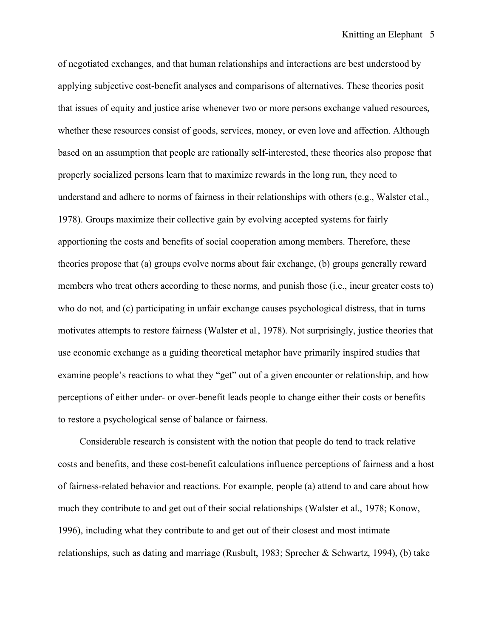of negotiated exchanges, and that human relationships and interactions are best understood by applying subjective cost-benefit analyses and comparisons of alternatives. These theories posit that issues of equity and justice arise whenever two or more persons exchange valued resources, whether these resources consist of goods, services, money, or even love and affection. Although based on an assumption that people are rationally self-interested, these theories also propose that properly socialized persons learn that to maximize rewards in the long run, they need to understand and adhere to norms of fairness in their relationships with others (e.g., Walster et al., 1978). Groups maximize their collective gain by evolving accepted systems for fairly apportioning the costs and benefits of social cooperation among members. Therefore, these theories propose that (a) groups evolve norms about fair exchange, (b) groups generally reward members who treat others according to these norms, and punish those (i.e., incur greater costs to) who do not, and (c) participating in unfair exchange causes psychological distress, that in turns motivates attempts to restore fairness (Walster et al., 1978). Not surprisingly, justice theories that use economic exchange as a guiding theoretical metaphor have primarily inspired studies that examine people's reactions to what they "get" out of a given encounter or relationship, and how perceptions of either under- or over-benefit leads people to change either their costs or benefits to restore a psychological sense of balance or fairness.

Considerable research is consistent with the notion that people do tend to track relative costs and benefits, and these cost-benefit calculations influence perceptions of fairness and a host of fairness-related behavior and reactions. For example, people (a) attend to and care about how much they contribute to and get out of their social relationships (Walster et al., 1978; Konow, 1996), including what they contribute to and get out of their closest and most intimate relationships, such as dating and marriage (Rusbult, 1983; Sprecher & Schwartz, 1994), (b) take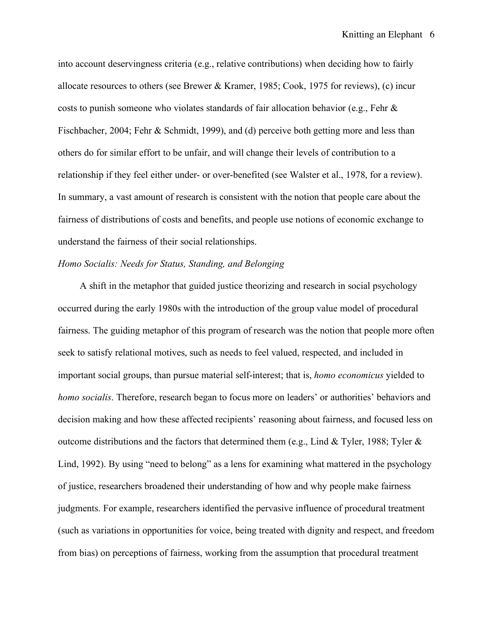into account deservingness criteria (e.g., relative contributions) when deciding how to fairly allocate resources to others (see Brewer & Kramer, 1985; Cook, 1975 for reviews), (c) incur costs to punish someone who violates standards of fair allocation behavior (e.g., Fehr  $\&$ Fischbacher, 2004; Fehr & Schmidt, 1999), and (d) perceive both getting more and less than others do for similar effort to be unfair, and will change their levels of contribution to a relationship if they feel either under- or over-benefited (see Walster et al., 1978, for a review). In summary, a vast amount of research is consistent with the notion that people care about the fairness of distributions of costs and benefits, and people use notions of economic exchange to understand the fairness of their social relationships.

## *Homo Socialis: Needs for Status, Standing, and Belonging*

A shift in the metaphor that guided justice theorizing and research in social psychology occurred during the early 1980s with the introduction of the group value model of procedural fairness. The guiding metaphor of this program of research was the notion that people more often seek to satisfy relational motives, such as needs to feel valued, respected, and included in important social groups, than pursue material self-interest; that is, *homo economicus* yielded to *homo socialis*. Therefore, research began to focus more on leaders' or authorities' behaviors and decision making and how these affected recipients' reasoning about fairness, and focused less on outcome distributions and the factors that determined them (e.g., Lind & Tyler, 1988; Tyler & Lind, 1992). By using "need to belong" as a lens for examining what mattered in the psychology of justice, researchers broadened their understanding of how and why people make fairness judgments. For example, researchers identified the pervasive influence of procedural treatment (such as variations in opportunities for voice, being treated with dignity and respect, and freedom from bias) on perceptions of fairness, working from the assumption that procedural treatment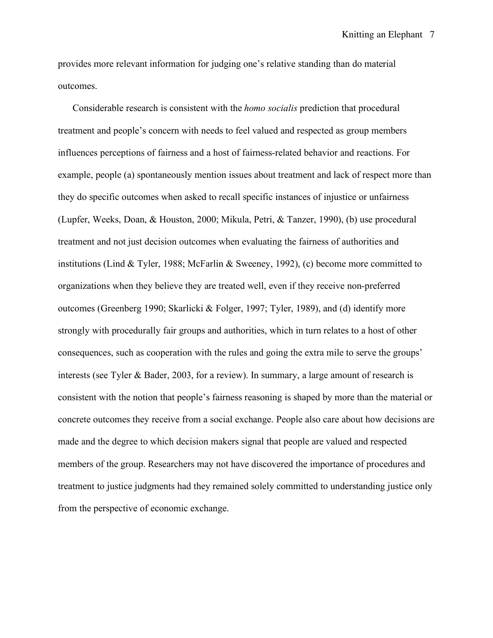provides more relevant information for judging one's relative standing than do material outcomes.

 Considerable research is consistent with the *homo socialis* prediction that procedural treatment and people's concern with needs to feel valued and respected as group members influences perceptions of fairness and a host of fairness-related behavior and reactions. For example, people (a) spontaneously mention issues about treatment and lack of respect more than they do specific outcomes when asked to recall specific instances of injustice or unfairness (Lupfer, Weeks, Doan, & Houston, 2000; Mikula, Petri, & Tanzer, 1990), (b) use procedural treatment and not just decision outcomes when evaluating the fairness of authorities and institutions (Lind & Tyler, 1988; McFarlin & Sweeney, 1992), (c) become more committed to organizations when they believe they are treated well, even if they receive non-preferred outcomes (Greenberg 1990; Skarlicki & Folger, 1997; Tyler, 1989), and (d) identify more strongly with procedurally fair groups and authorities, which in turn relates to a host of other consequences, such as cooperation with the rules and going the extra mile to serve the groups' interests (see Tyler & Bader, 2003, for a review). In summary, a large amount of research is consistent with the notion that people's fairness reasoning is shaped by more than the material or concrete outcomes they receive from a social exchange. People also care about how decisions are made and the degree to which decision makers signal that people are valued and respected members of the group. Researchers may not have discovered the importance of procedures and treatment to justice judgments had they remained solely committed to understanding justice only from the perspective of economic exchange.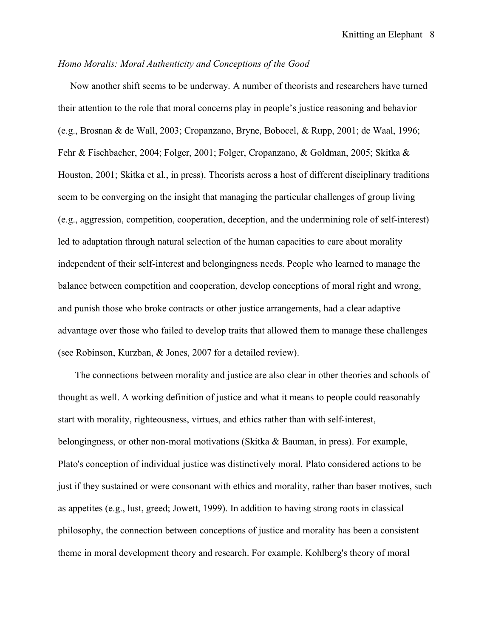## *Homo Moralis: Moral Authenticity and Conceptions of the Good*

 Now another shift seems to be underway. A number of theorists and researchers have turned their attention to the role that moral concerns play in people's justice reasoning and behavior (e.g., Brosnan & de Wall, 2003; Cropanzano, Bryne, Bobocel, & Rupp, 2001; de Waal, 1996; Fehr & Fischbacher, 2004; Folger, 2001; Folger, Cropanzano, & Goldman, 2005; Skitka & Houston, 2001; Skitka et al., in press). Theorists across a host of different disciplinary traditions seem to be converging on the insight that managing the particular challenges of group living (e.g., aggression, competition, cooperation, deception, and the undermining role of self-interest) led to adaptation through natural selection of the human capacities to care about morality independent of their self-interest and belongingness needs. People who learned to manage the balance between competition and cooperation, develop conceptions of moral right and wrong, and punish those who broke contracts or other justice arrangements, had a clear adaptive advantage over those who failed to develop traits that allowed them to manage these challenges (see Robinson, Kurzban, & Jones, 2007 for a detailed review).

 The connections between morality and justice are also clear in other theories and schools of thought as well. A working definition of justice and what it means to people could reasonably start with morality, righteousness, virtues, and ethics rather than with self-interest, belongingness, or other non-moral motivations (Skitka & Bauman, in press). For example, Plato's conception of individual justice was distinctively moral. Plato considered actions to be just if they sustained or were consonant with ethics and morality, rather than baser motives, such as appetites (e.g., lust, greed; Jowett, 1999). In addition to having strong roots in classical philosophy, the connection between conceptions of justice and morality has been a consistent theme in moral development theory and research. For example, Kohlberg's theory of moral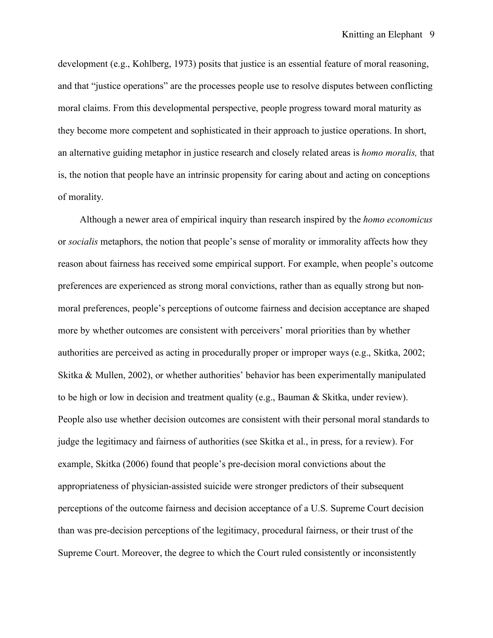development (e.g., Kohlberg, 1973) posits that justice is an essential feature of moral reasoning, and that "justice operations" are the processes people use to resolve disputes between conflicting moral claims. From this developmental perspective, people progress toward moral maturity as they become more competent and sophisticated in their approach to justice operations. In short, an alternative guiding metaphor in justice research and closely related areas is *homo moralis,* that is, the notion that people have an intrinsic propensity for caring about and acting on conceptions of morality.

Although a newer area of empirical inquiry than research inspired by the *homo economicus* or *socialis* metaphors, the notion that people's sense of morality or immorality affects how they reason about fairness has received some empirical support. For example, when people's outcome preferences are experienced as strong moral convictions, rather than as equally strong but nonmoral preferences, people's perceptions of outcome fairness and decision acceptance are shaped more by whether outcomes are consistent with perceivers' moral priorities than by whether authorities are perceived as acting in procedurally proper or improper ways (e.g., Skitka, 2002; Skitka & Mullen, 2002), or whether authorities' behavior has been experimentally manipulated to be high or low in decision and treatment quality (e.g., Bauman & Skitka, under review). People also use whether decision outcomes are consistent with their personal moral standards to judge the legitimacy and fairness of authorities (see Skitka et al., in press, for a review). For example, Skitka (2006) found that people's pre-decision moral convictions about the appropriateness of physician-assisted suicide were stronger predictors of their subsequent perceptions of the outcome fairness and decision acceptance of a U.S. Supreme Court decision than was pre-decision perceptions of the legitimacy, procedural fairness, or their trust of the Supreme Court. Moreover, the degree to which the Court ruled consistently or inconsistently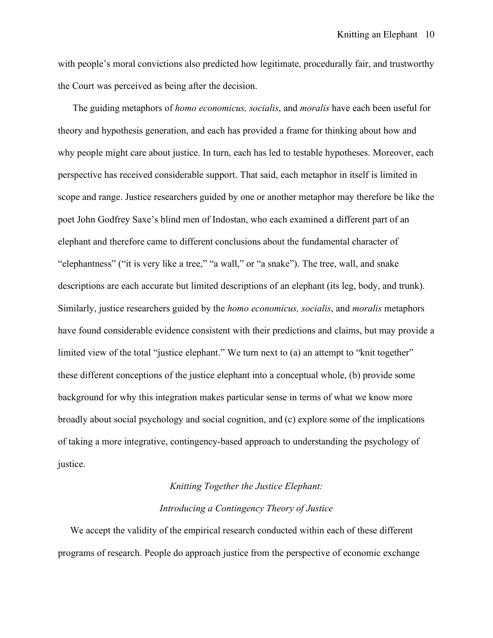with people's moral convictions also predicted how legitimate, procedurally fair, and trustworthy the Court was perceived as being after the decision.

 The guiding metaphors of *homo economicus, socialis*, and *moralis* have each been useful for theory and hypothesis generation, and each has provided a frame for thinking about how and why people might care about justice. In turn, each has led to testable hypotheses. Moreover, each perspective has received considerable support. That said, each metaphor in itself is limited in scope and range. Justice researchers guided by one or another metaphor may therefore be like the poet John Godfrey Saxe's blind men of Indostan, who each examined a different part of an elephant and therefore came to different conclusions about the fundamental character of "elephantness" ("it is very like a tree," "a wall," or "a snake"). The tree, wall, and snake descriptions are each accurate but limited descriptions of an elephant (its leg, body, and trunk). Similarly, justice researchers guided by the *homo economicus, socialis*, and *moralis* metaphors have found considerable evidence consistent with their predictions and claims, but may provide a limited view of the total "justice elephant." We turn next to (a) an attempt to "knit together" these different conceptions of the justice elephant into a conceptual whole, (b) provide some background for why this integration makes particular sense in terms of what we know more broadly about social psychology and social cognition, and (c) explore some of the implications of taking a more integrative, contingency-based approach to understanding the psychology of justice.

# *Knitting Together the Justice Elephant: Introducing a Contingency Theory of Justice*

 We accept the validity of the empirical research conducted within each of these different programs of research. People do approach justice from the perspective of economic exchange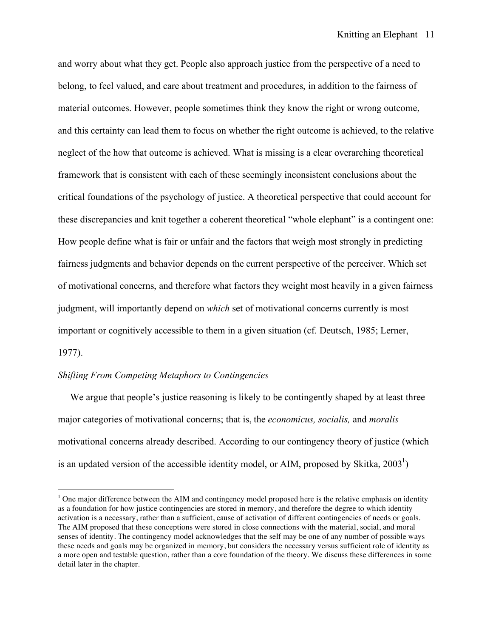and worry about what they get. People also approach justice from the perspective of a need to belong, to feel valued, and care about treatment and procedures, in addition to the fairness of material outcomes. However, people sometimes think they know the right or wrong outcome, and this certainty can lead them to focus on whether the right outcome is achieved, to the relative neglect of the how that outcome is achieved. What is missing is a clear overarching theoretical framework that is consistent with each of these seemingly inconsistent conclusions about the critical foundations of the psychology of justice. A theoretical perspective that could account for these discrepancies and knit together a coherent theoretical "whole elephant" is a contingent one: How people define what is fair or unfair and the factors that weigh most strongly in predicting fairness judgments and behavior depends on the current perspective of the perceiver. Which set of motivational concerns, and therefore what factors they weight most heavily in a given fairness judgment, will importantly depend on *which* set of motivational concerns currently is most important or cognitively accessible to them in a given situation (cf. Deutsch, 1985; Lerner, 1977).

## *Shifting From Competing Metaphors to Contingencies*

 We argue that people's justice reasoning is likely to be contingently shaped by at least three major categories of motivational concerns; that is, the *economicus, socialis,* and *moralis*  motivational concerns already described. According to our contingency theory of justice (which is an updated version of the accessible identity model, or AIM, proposed by Skitka,  $2003<sup>1</sup>$ )

 $\frac{1}{1}$ <sup>1</sup> One major difference between the AIM and contingency model proposed here is the relative emphasis on identity as a foundation for how justice contingencies are stored in memory, and therefore the degree to which identity activation is a necessary, rather than a sufficient, cause of activation of different contingencies of needs or goals. The AIM proposed that these conceptions were stored in close connections with the material, social, and moral senses of identity. The contingency model acknowledges that the self may be one of any number of possible ways these needs and goals may be organized in memory, but considers the necessary versus sufficient role of identity as a more open and testable question, rather than a core foundation of the theory. We discuss these differences in some detail later in the chapter.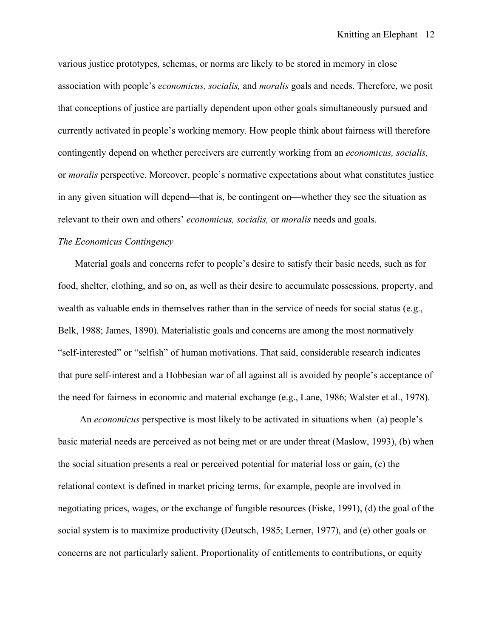various justice prototypes, schemas, or norms are likely to be stored in memory in close association with people's *economicus, socialis,* and *moralis* goals and needs. Therefore, we posit that conceptions of justice are partially dependent upon other goals simultaneously pursued and currently activated in people's working memory. How people think about fairness will therefore contingently depend on whether perceivers are currently working from an *economicus, socialis,* or *moralis* perspective. Moreover, people's normative expectations about what constitutes justice in any given situation will depend—that is, be contingent on—whether they see the situation as relevant to their own and others' *economicus, socialis,* or *moralis* needs and goals.

## *The Economicus Contingency*

 Material goals and concerns refer to people's desire to satisfy their basic needs, such as for food, shelter, clothing, and so on, as well as their desire to accumulate possessions, property, and wealth as valuable ends in themselves rather than in the service of needs for social status (e.g., Belk, 1988; James, 1890). Materialistic goals and concerns are among the most normatively "self-interested" or "selfish" of human motivations. That said, considerable research indicates that pure self-interest and a Hobbesian war of all against all is avoided by people's acceptance of the need for fairness in economic and material exchange (e.g., Lane, 1986; Walster et al., 1978).

 An *economicus* perspective is most likely to be activated in situations when (a) people's basic material needs are perceived as not being met or are under threat (Maslow, 1993), (b) when the social situation presents a real or perceived potential for material loss or gain, (c) the relational context is defined in market pricing terms, for example, people are involved in negotiating prices, wages, or the exchange of fungible resources (Fiske, 1991), (d) the goal of the social system is to maximize productivity (Deutsch, 1985; Lerner, 1977), and (e) other goals or concerns are not particularly salient. Proportionality of entitlements to contributions, or equity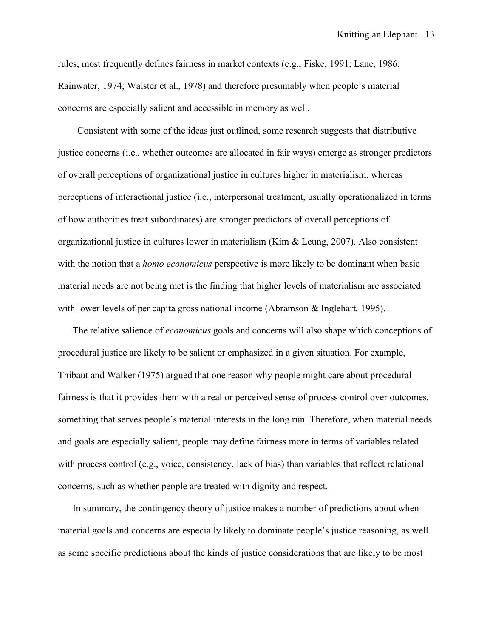rules, most frequently defines fairness in market contexts (e.g., Fiske, 1991; Lane, 1986; Rainwater, 1974; Walster et al., 1978) and therefore presumably when people's material concerns are especially salient and accessible in memory as well.

Consistent with some of the ideas just outlined, some research suggests that distributive justice concerns (i.e., whether outcomes are allocated in fair ways) emerge as stronger predictors of overall perceptions of organizational justice in cultures higher in materialism, whereas perceptions of interactional justice (i.e., interpersonal treatment, usually operationalized in terms of how authorities treat subordinates) are stronger predictors of overall perceptions of organizational justice in cultures lower in materialism (Kim & Leung, 2007). Also consistent with the notion that a *homo economicus* perspective is more likely to be dominant when basic material needs are not being met is the finding that higher levels of materialism are associated with lower levels of per capita gross national income (Abramson & Inglehart, 1995).

The relative salience of *economicus* goals and concerns will also shape which conceptions of procedural justice are likely to be salient or emphasized in a given situation. For example, Thibaut and Walker (1975) argued that one reason why people might care about procedural fairness is that it provides them with a real or perceived sense of process control over outcomes, something that serves people's material interests in the long run. Therefore, when material needs and goals are especially salient, people may define fairness more in terms of variables related with process control (e.g., voice, consistency, lack of bias) than variables that reflect relational concerns, such as whether people are treated with dignity and respect.

 In summary, the contingency theory of justice makes a number of predictions about when material goals and concerns are especially likely to dominate people's justice reasoning, as well as some specific predictions about the kinds of justice considerations that are likely to be most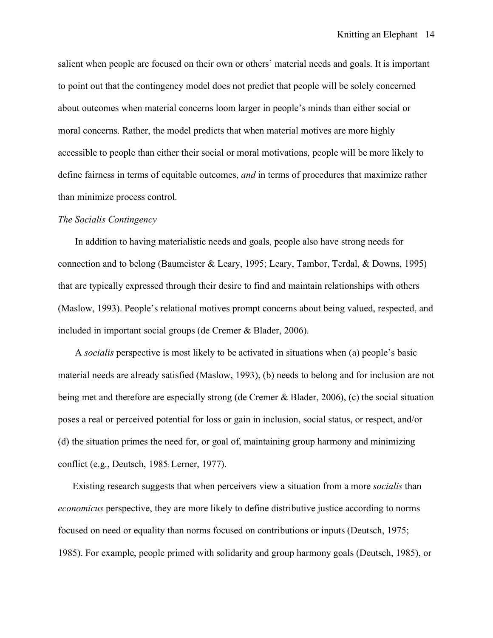salient when people are focused on their own or others' material needs and goals. It is important to point out that the contingency model does not predict that people will be solely concerned about outcomes when material concerns loom larger in people's minds than either social or moral concerns. Rather, the model predicts that when material motives are more highly accessible to people than either their social or moral motivations, people will be more likely to define fairness in terms of equitable outcomes, *and* in terms of procedures that maximize rather than minimize process control.

### *The Socialis Contingency*

In addition to having materialistic needs and goals, people also have strong needs for connection and to belong (Baumeister & Leary, 1995; Leary, Tambor, Terdal, & Downs, 1995) that are typically expressed through their desire to find and maintain relationships with others (Maslow, 1993). People's relational motives prompt concerns about being valued, respected, and included in important social groups (de Cremer & Blader, 2006).

 A *socialis* perspective is most likely to be activated in situations when (a) people's basic material needs are already satisfied (Maslow, 1993), (b) needs to belong and for inclusion are not being met and therefore are especially strong (de Cremer & Blader, 2006), (c) the social situation poses a real or perceived potential for loss or gain in inclusion, social status, or respect, and/or (d) the situation primes the need for, or goal of, maintaining group harmony and minimizing conflict (e.g., Deutsch, 1985; Lerner, 1977).

 Existing research suggests that when perceivers view a situation from a more *socialis* than *economicus* perspective, they are more likely to define distributive justice according to norms focused on need or equality than norms focused on contributions or inputs (Deutsch, 1975; 1985). For example, people primed with solidarity and group harmony goals (Deutsch, 1985), or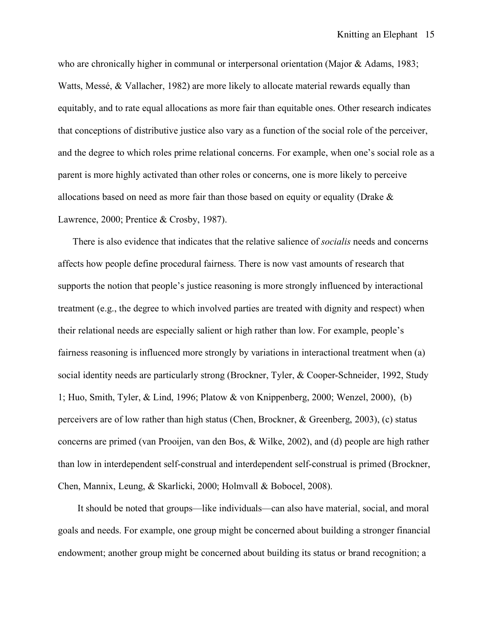who are chronically higher in communal or interpersonal orientation (Major & Adams, 1983; Watts, Messé, & Vallacher, 1982) are more likely to allocate material rewards equally than equitably, and to rate equal allocations as more fair than equitable ones. Other research indicates that conceptions of distributive justice also vary as a function of the social role of the perceiver, and the degree to which roles prime relational concerns. For example, when one's social role as a parent is more highly activated than other roles or concerns, one is more likely to perceive allocations based on need as more fair than those based on equity or equality (Drake & Lawrence, 2000; Prentice & Crosby, 1987).

There is also evidence that indicates that the relative salience of *socialis* needs and concerns affects how people define procedural fairness. There is now vast amounts of research that supports the notion that people's justice reasoning is more strongly influenced by interactional treatment (e.g., the degree to which involved parties are treated with dignity and respect) when their relational needs are especially salient or high rather than low. For example, people's fairness reasoning is influenced more strongly by variations in interactional treatment when (a) social identity needs are particularly strong (Brockner, Tyler, & Cooper-Schneider, 1992, Study 1; Huo, Smith, Tyler, & Lind, 1996; Platow & von Knippenberg, 2000; Wenzel, 2000), (b) perceivers are of low rather than high status (Chen, Brockner, & Greenberg, 2003), (c) status concerns are primed (van Prooijen, van den Bos, & Wilke, 2002), and (d) people are high rather than low in interdependent self-construal and interdependent self-construal is primed (Brockner, Chen, Mannix, Leung, & Skarlicki, 2000; Holmvall & Bobocel, 2008).

 It should be noted that groups—like individuals—can also have material, social, and moral goals and needs. For example, one group might be concerned about building a stronger financial endowment; another group might be concerned about building its status or brand recognition; a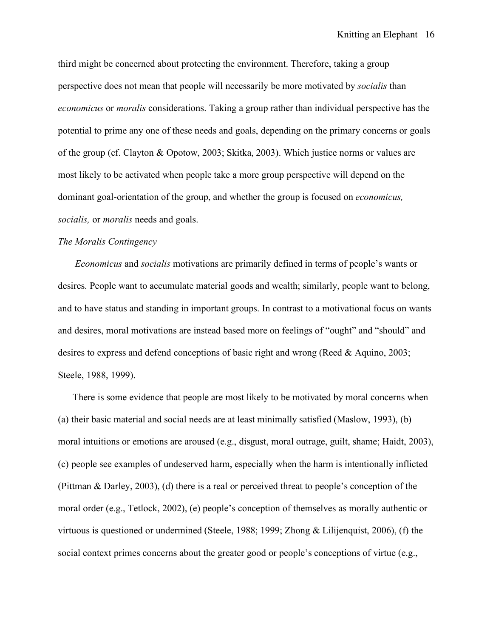third might be concerned about protecting the environment. Therefore, taking a group perspective does not mean that people will necessarily be more motivated by *socialis* than *economicus* or *moralis* considerations. Taking a group rather than individual perspective has the potential to prime any one of these needs and goals, depending on the primary concerns or goals of the group (cf. Clayton & Opotow, 2003; Skitka, 2003). Which justice norms or values are most likely to be activated when people take a more group perspective will depend on the dominant goal-orientation of the group, and whether the group is focused on *economicus, socialis,* or *moralis* needs and goals.

## *The Moralis Contingency*

 *Economicus* and *socialis* motivations are primarily defined in terms of people's wants or desires. People want to accumulate material goods and wealth; similarly, people want to belong, and to have status and standing in important groups. In contrast to a motivational focus on wants and desires, moral motivations are instead based more on feelings of "ought" and "should" and desires to express and defend conceptions of basic right and wrong (Reed & Aquino, 2003; Steele, 1988, 1999).

 There is some evidence that people are most likely to be motivated by moral concerns when (a) their basic material and social needs are at least minimally satisfied (Maslow, 1993), (b) moral intuitions or emotions are aroused (e.g., disgust, moral outrage, guilt, shame; Haidt, 2003), (c) people see examples of undeserved harm, especially when the harm is intentionally inflicted (Pittman & Darley, 2003), (d) there is a real or perceived threat to people's conception of the moral order (e.g., Tetlock, 2002), (e) people's conception of themselves as morally authentic or virtuous is questioned or undermined (Steele, 1988; 1999; Zhong & Lilijenquist, 2006), (f) the social context primes concerns about the greater good or people's conceptions of virtue (e.g.,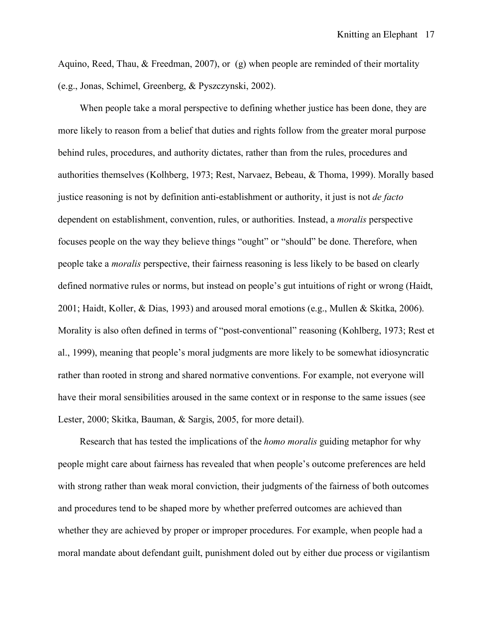Aquino, Reed, Thau, & Freedman, 2007), or (g) when people are reminded of their mortality (e.g., Jonas, Schimel, Greenberg, & Pyszczynski, 2002).

When people take a moral perspective to defining whether justice has been done, they are more likely to reason from a belief that duties and rights follow from the greater moral purpose behind rules, procedures, and authority dictates, rather than from the rules, procedures and authorities themselves (Kolhberg, 1973; Rest, Narvaez, Bebeau, & Thoma, 1999). Morally based justice reasoning is not by definition anti-establishment or authority, it just is not *de facto* dependent on establishment, convention, rules, or authorities. Instead, a *moralis* perspective focuses people on the way they believe things "ought" or "should" be done. Therefore, when people take a *moralis* perspective, their fairness reasoning is less likely to be based on clearly defined normative rules or norms, but instead on people's gut intuitions of right or wrong (Haidt, 2001; Haidt, Koller, & Dias, 1993) and aroused moral emotions (e.g., Mullen & Skitka, 2006). Morality is also often defined in terms of "post-conventional" reasoning (Kohlberg, 1973; Rest et al., 1999), meaning that people's moral judgments are more likely to be somewhat idiosyncratic rather than rooted in strong and shared normative conventions. For example, not everyone will have their moral sensibilities aroused in the same context or in response to the same issues (see Lester, 2000; Skitka, Bauman, & Sargis, 2005, for more detail).

Research that has tested the implications of the *homo moralis* guiding metaphor for why people might care about fairness has revealed that when people's outcome preferences are held with strong rather than weak moral conviction, their judgments of the fairness of both outcomes and procedures tend to be shaped more by whether preferred outcomes are achieved than whether they are achieved by proper or improper procedures. For example, when people had a moral mandate about defendant guilt, punishment doled out by either due process or vigilantism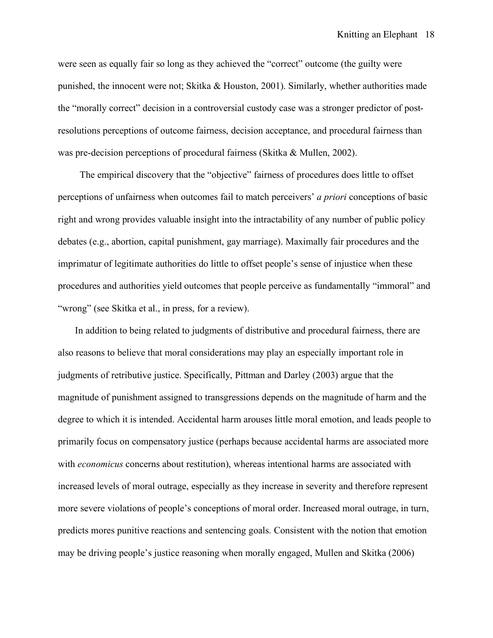were seen as equally fair so long as they achieved the "correct" outcome (the guilty were punished, the innocent were not; Skitka & Houston, 2001). Similarly, whether authorities made the "morally correct" decision in a controversial custody case was a stronger predictor of postresolutions perceptions of outcome fairness, decision acceptance, and procedural fairness than was pre-decision perceptions of procedural fairness (Skitka & Mullen, 2002).

The empirical discovery that the "objective" fairness of procedures does little to offset perceptions of unfairness when outcomes fail to match perceivers' *a priori* conceptions of basic right and wrong provides valuable insight into the intractability of any number of public policy debates (e.g., abortion, capital punishment, gay marriage). Maximally fair procedures and the imprimatur of legitimate authorities do little to offset people's sense of injustice when these procedures and authorities yield outcomes that people perceive as fundamentally "immoral" and "wrong" (see Skitka et al., in press, for a review).

 In addition to being related to judgments of distributive and procedural fairness, there are also reasons to believe that moral considerations may play an especially important role in judgments of retributive justice. Specifically, Pittman and Darley (2003) argue that the magnitude of punishment assigned to transgressions depends on the magnitude of harm and the degree to which it is intended. Accidental harm arouses little moral emotion, and leads people to primarily focus on compensatory justice (perhaps because accidental harms are associated more with *economicus* concerns about restitution), whereas intentional harms are associated with increased levels of moral outrage, especially as they increase in severity and therefore represent more severe violations of people's conceptions of moral order. Increased moral outrage, in turn, predicts mores punitive reactions and sentencing goals. Consistent with the notion that emotion may be driving people's justice reasoning when morally engaged, Mullen and Skitka (2006)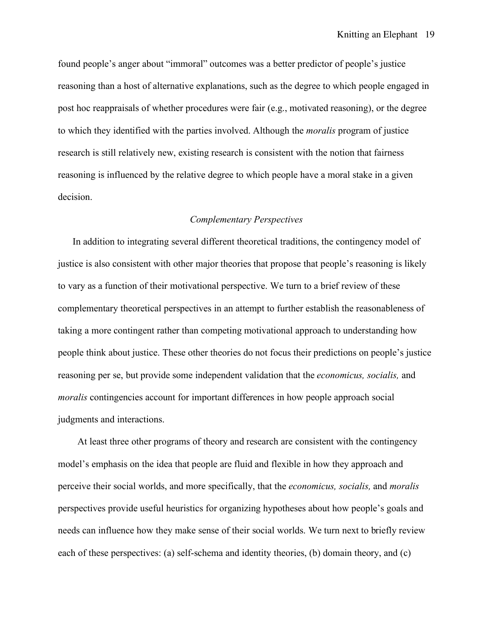found people's anger about "immoral" outcomes was a better predictor of people's justice reasoning than a host of alternative explanations, such as the degree to which people engaged in post hoc reappraisals of whether procedures were fair (e.g., motivated reasoning), or the degree to which they identified with the parties involved. Although the *moralis* program of justice research is still relatively new, existing research is consistent with the notion that fairness reasoning is influenced by the relative degree to which people have a moral stake in a given decision.

## *Complementary Perspectives*

 In addition to integrating several different theoretical traditions, the contingency model of justice is also consistent with other major theories that propose that people's reasoning is likely to vary as a function of their motivational perspective. We turn to a brief review of these complementary theoretical perspectives in an attempt to further establish the reasonableness of taking a more contingent rather than competing motivational approach to understanding how people think about justice. These other theories do not focus their predictions on people's justice reasoning per se, but provide some independent validation that the *economicus, socialis,* and *moralis* contingencies account for important differences in how people approach social judgments and interactions.

At least three other programs of theory and research are consistent with the contingency model's emphasis on the idea that people are fluid and flexible in how they approach and perceive their social worlds, and more specifically, that the *economicus, socialis,* and *moralis* perspectives provide useful heuristics for organizing hypotheses about how people's goals and needs can influence how they make sense of their social worlds. We turn next to briefly review each of these perspectives: (a) self-schema and identity theories, (b) domain theory, and (c)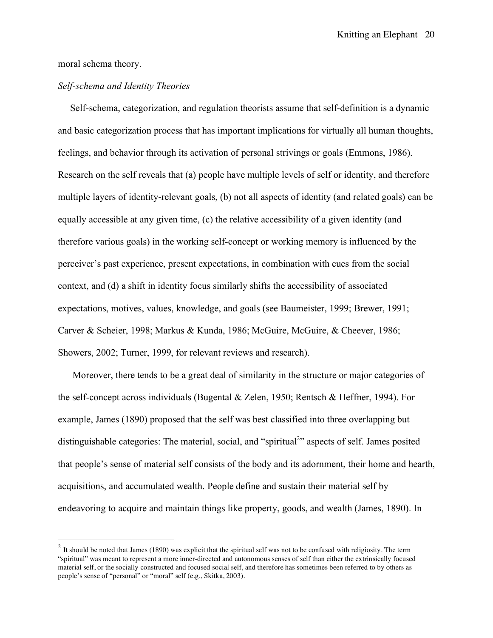moral schema theory.

## *Self-schema and Identity Theories*

Self-schema, categorization, and regulation theorists assume that self-definition is a dynamic and basic categorization process that has important implications for virtually all human thoughts, feelings, and behavior through its activation of personal strivings or goals (Emmons, 1986). Research on the self reveals that (a) people have multiple levels of self or identity, and therefore multiple layers of identity-relevant goals, (b) not all aspects of identity (and related goals) can be equally accessible at any given time, (c) the relative accessibility of a given identity (and therefore various goals) in the working self-concept or working memory is influenced by the perceiver's past experience, present expectations, in combination with cues from the social context, and (d) a shift in identity focus similarly shifts the accessibility of associated expectations, motives, values, knowledge, and goals (see Baumeister, 1999; Brewer, 1991; Carver & Scheier, 1998; Markus & Kunda, 1986; McGuire, McGuire, & Cheever, 1986; Showers, 2002; Turner, 1999, for relevant reviews and research).

 Moreover, there tends to be a great deal of similarity in the structure or major categories of the self-concept across individuals (Bugental & Zelen, 1950; Rentsch & Heffner, 1994). For example, James (1890) proposed that the self was best classified into three overlapping but distinguishable categories: The material, social, and "spiritual<sup>2</sup>" aspects of self. James posited that people's sense of material self consists of the body and its adornment, their home and hearth, acquisitions, and accumulated wealth. People define and sustain their material self by endeavoring to acquire and maintain things like property, goods, and wealth (James, 1890). In

 $2$  It should be noted that James (1890) was explicit that the spiritual self was not to be confused with religiosity. The term "spiritual" was meant to represent a more inner-directed and autonomous senses of self than either the extrinsically focused material self, or the socially constructed and focused social self, and therefore has sometimes been referred to by others as people's sense of "personal" or "moral" self (e.g., Skitka, 2003).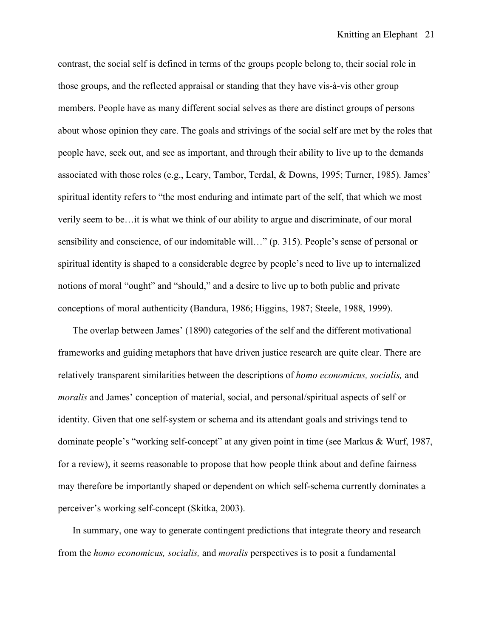contrast, the social self is defined in terms of the groups people belong to, their social role in those groups, and the reflected appraisal or standing that they have vis-à-vis other group members. People have as many different social selves as there are distinct groups of persons about whose opinion they care. The goals and strivings of the social self are met by the roles that people have, seek out, and see as important, and through their ability to live up to the demands associated with those roles (e.g., Leary, Tambor, Terdal, & Downs, 1995; Turner, 1985). James' spiritual identity refers to "the most enduring and intimate part of the self, that which we most verily seem to be…it is what we think of our ability to argue and discriminate, of our moral sensibility and conscience, of our indomitable will…" (p. 315). People's sense of personal or spiritual identity is shaped to a considerable degree by people's need to live up to internalized notions of moral "ought" and "should," and a desire to live up to both public and private conceptions of moral authenticity (Bandura, 1986; Higgins, 1987; Steele, 1988, 1999).

 The overlap between James' (1890) categories of the self and the different motivational frameworks and guiding metaphors that have driven justice research are quite clear. There are relatively transparent similarities between the descriptions of *homo economicus, socialis,* and *moralis* and James' conception of material, social, and personal/spiritual aspects of self or identity. Given that one self-system or schema and its attendant goals and strivings tend to dominate people's "working self-concept" at any given point in time (see Markus & Wurf, 1987, for a review), it seems reasonable to propose that how people think about and define fairness may therefore be importantly shaped or dependent on which self-schema currently dominates a perceiver's working self-concept (Skitka, 2003).

 In summary, one way to generate contingent predictions that integrate theory and research from the *homo economicus, socialis,* and *moralis* perspectives is to posit a fundamental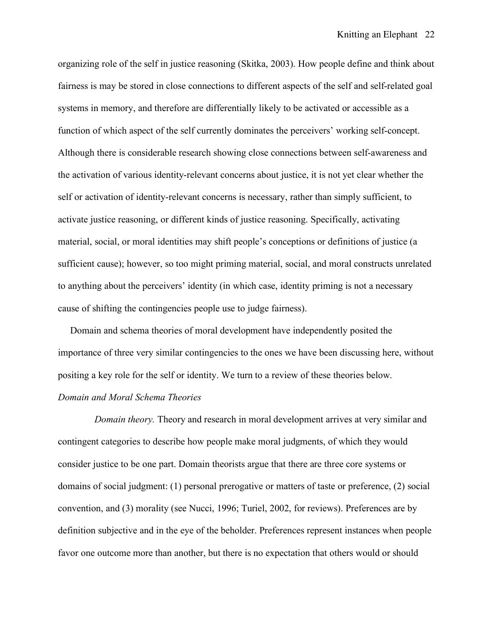organizing role of the self in justice reasoning (Skitka, 2003). How people define and think about fairness is may be stored in close connections to different aspects of the self and self-related goal systems in memory, and therefore are differentially likely to be activated or accessible as a function of which aspect of the self currently dominates the perceivers' working self-concept. Although there is considerable research showing close connections between self-awareness and the activation of various identity-relevant concerns about justice, it is not yet clear whether the self or activation of identity-relevant concerns is necessary, rather than simply sufficient, to activate justice reasoning, or different kinds of justice reasoning. Specifically, activating material, social, or moral identities may shift people's conceptions or definitions of justice (a sufficient cause); however, so too might priming material, social, and moral constructs unrelated to anything about the perceivers' identity (in which case, identity priming is not a necessary cause of shifting the contingencies people use to judge fairness).

 Domain and schema theories of moral development have independently posited the importance of three very similar contingencies to the ones we have been discussing here, without positing a key role for the self or identity. We turn to a review of these theories below. *Domain and Moral Schema Theories*

 *Domain theory.* Theory and research in moral development arrives at very similar and contingent categories to describe how people make moral judgments, of which they would consider justice to be one part. Domain theorists argue that there are three core systems or domains of social judgment: (1) personal prerogative or matters of taste or preference, (2) social convention, and (3) morality (see Nucci, 1996; Turiel, 2002, for reviews). Preferences are by definition subjective and in the eye of the beholder. Preferences represent instances when people favor one outcome more than another, but there is no expectation that others would or should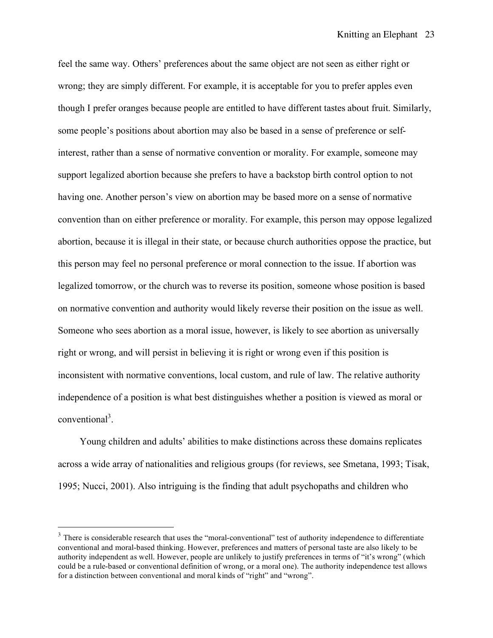feel the same way. Others' preferences about the same object are not seen as either right or wrong; they are simply different. For example, it is acceptable for you to prefer apples even though I prefer oranges because people are entitled to have different tastes about fruit. Similarly, some people's positions about abortion may also be based in a sense of preference or selfinterest, rather than a sense of normative convention or morality. For example, someone may support legalized abortion because she prefers to have a backstop birth control option to not having one. Another person's view on abortion may be based more on a sense of normative convention than on either preference or morality. For example, this person may oppose legalized abortion, because it is illegal in their state, or because church authorities oppose the practice, but this person may feel no personal preference or moral connection to the issue. If abortion was legalized tomorrow, or the church was to reverse its position, someone whose position is based on normative convention and authority would likely reverse their position on the issue as well. Someone who sees abortion as a moral issue, however, is likely to see abortion as universally right or wrong, and will persist in believing it is right or wrong even if this position is inconsistent with normative conventions, local custom, and rule of law. The relative authority independence of a position is what best distinguishes whether a position is viewed as moral or conventional<sup>3</sup>.

Young children and adults' abilities to make distinctions across these domains replicates across a wide array of nationalities and religious groups (for reviews, see Smetana, 1993; Tisak, 1995; Nucci, 2001). Also intriguing is the finding that adult psychopaths and children who

<sup>&</sup>lt;sup>3</sup> There is considerable research that uses the "moral-conventional" test of authority independence to differentiate conventional and moral-based thinking. However, preferences and matters of personal taste are also likely to be authority independent as well. However, people are unlikely to justify preferences in terms of "it's wrong" (which could be a rule-based or conventional definition of wrong, or a moral one). The authority independence test allows for a distinction between conventional and moral kinds of "right" and "wrong".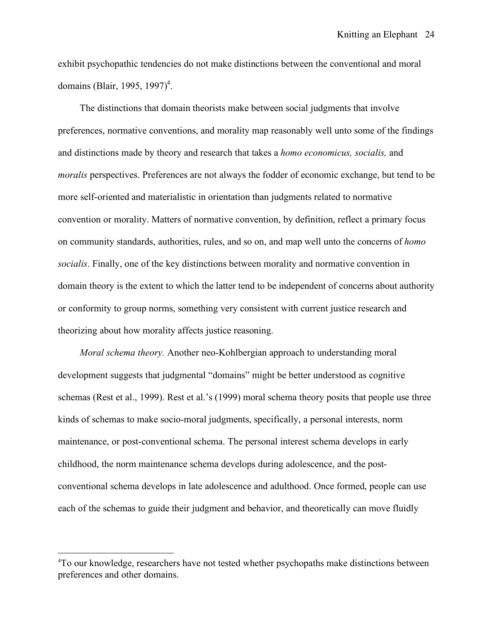exhibit psychopathic tendencies do not make distinctions between the conventional and moral domains (Blair, 1995, 1997)<sup>4</sup>.

The distinctions that domain theorists make between social judgments that involve preferences, normative conventions, and morality map reasonably well unto some of the findings and distinctions made by theory and research that takes a *homo economicus, socialis,* and *moralis* perspectives. Preferences are not always the fodder of economic exchange, but tend to be more self-oriented and materialistic in orientation than judgments related to normative convention or morality. Matters of normative convention, by definition, reflect a primary focus on community standards, authorities, rules, and so on, and map well unto the concerns of *homo socialis*. Finally, one of the key distinctions between morality and normative convention in domain theory is the extent to which the latter tend to be independent of concerns about authority or conformity to group norms, something very consistent with current justice research and theorizing about how morality affects justice reasoning.

*Moral schema theory.* Another neo-Kohlbergian approach to understanding moral development suggests that judgmental "domains" might be better understood as cognitive schemas (Rest et al., 1999). Rest et al.'s (1999) moral schema theory posits that people use three kinds of schemas to make socio-moral judgments, specifically, a personal interests, norm maintenance, or post-conventional schema. The personal interest schema develops in early childhood, the norm maintenance schema develops during adolescence, and the postconventional schema develops in late adolescence and adulthood. Once formed, people can use each of the schemas to guide their judgment and behavior, and theoretically can move fluidly

 $\frac{1}{4}$ To our knowledge, researchers have not tested whether psychopaths make distinctions between preferences and other domains.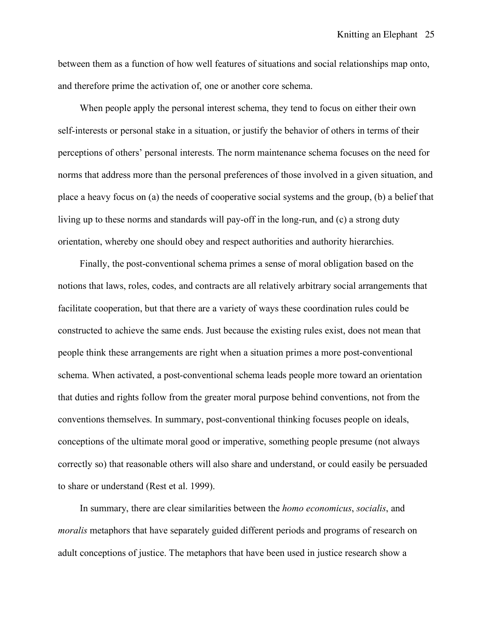between them as a function of how well features of situations and social relationships map onto, and therefore prime the activation of, one or another core schema.

When people apply the personal interest schema, they tend to focus on either their own self-interests or personal stake in a situation, or justify the behavior of others in terms of their perceptions of others' personal interests. The norm maintenance schema focuses on the need for norms that address more than the personal preferences of those involved in a given situation, and place a heavy focus on (a) the needs of cooperative social systems and the group, (b) a belief that living up to these norms and standards will pay-off in the long-run, and (c) a strong duty orientation, whereby one should obey and respect authorities and authority hierarchies.

Finally, the post-conventional schema primes a sense of moral obligation based on the notions that laws, roles, codes, and contracts are all relatively arbitrary social arrangements that facilitate cooperation, but that there are a variety of ways these coordination rules could be constructed to achieve the same ends. Just because the existing rules exist, does not mean that people think these arrangements are right when a situation primes a more post-conventional schema. When activated, a post-conventional schema leads people more toward an orientation that duties and rights follow from the greater moral purpose behind conventions, not from the conventions themselves. In summary, post-conventional thinking focuses people on ideals, conceptions of the ultimate moral good or imperative, something people presume (not always correctly so) that reasonable others will also share and understand, or could easily be persuaded to share or understand (Rest et al. 1999).

 In summary, there are clear similarities between the *homo economicus*, *socialis*, and *moralis* metaphors that have separately guided different periods and programs of research on adult conceptions of justice. The metaphors that have been used in justice research show a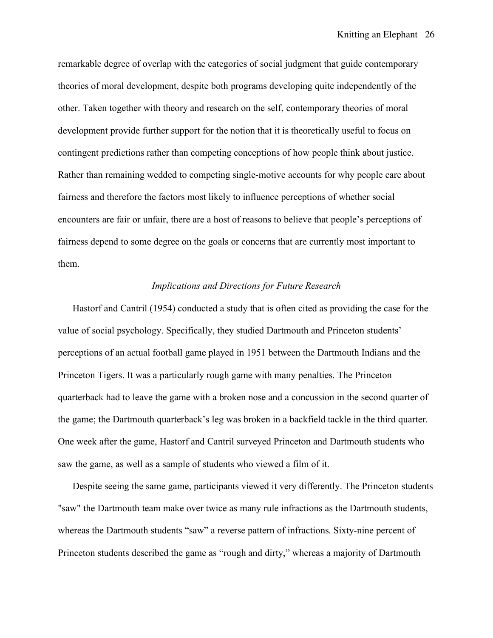remarkable degree of overlap with the categories of social judgment that guide contemporary theories of moral development, despite both programs developing quite independently of the other. Taken together with theory and research on the self, contemporary theories of moral development provide further support for the notion that it is theoretically useful to focus on contingent predictions rather than competing conceptions of how people think about justice. Rather than remaining wedded to competing single-motive accounts for why people care about fairness and therefore the factors most likely to influence perceptions of whether social encounters are fair or unfair, there are a host of reasons to believe that people's perceptions of fairness depend to some degree on the goals or concerns that are currently most important to them.

## *Implications and Directions for Future Research*

 Hastorf and Cantril (1954) conducted a study that is often cited as providing the case for the value of social psychology. Specifically, they studied Dartmouth and Princeton students' perceptions of an actual football game played in 1951 between the Dartmouth Indians and the Princeton Tigers. It was a particularly rough game with many penalties. The Princeton quarterback had to leave the game with a broken nose and a concussion in the second quarter of the game; the Dartmouth quarterback's leg was broken in a backfield tackle in the third quarter. One week after the game, Hastorf and Cantril surveyed Princeton and Dartmouth students who saw the game, as well as a sample of students who viewed a film of it.

 Despite seeing the same game, participants viewed it very differently. The Princeton students "saw" the Dartmouth team make over twice as many rule infractions as the Dartmouth students, whereas the Dartmouth students "saw" a reverse pattern of infractions. Sixty-nine percent of Princeton students described the game as "rough and dirty," whereas a majority of Dartmouth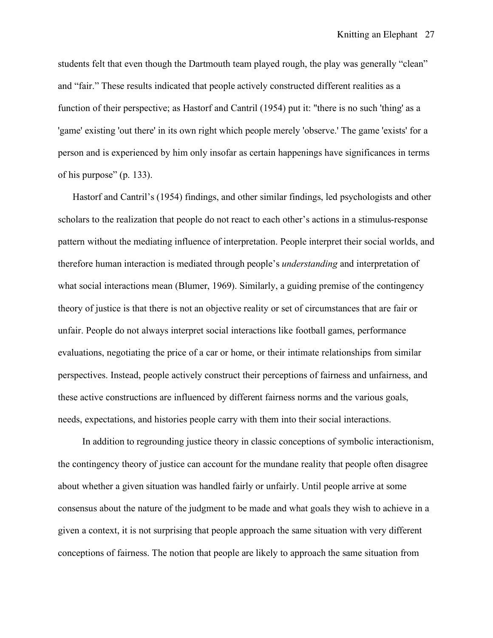students felt that even though the Dartmouth team played rough, the play was generally "clean" and "fair." These results indicated that people actively constructed different realities as a function of their perspective; as Hastorf and Cantril (1954) put it: "there is no such 'thing' as a 'game' existing 'out there' in its own right which people merely 'observe.' The game 'exists' for a person and is experienced by him only insofar as certain happenings have significances in terms of his purpose" (p. 133).

 Hastorf and Cantril's (1954) findings, and other similar findings, led psychologists and other scholars to the realization that people do not react to each other's actions in a stimulus-response pattern without the mediating influence of interpretation. People interpret their social worlds, and therefore human interaction is mediated through people's *understanding* and interpretation of what social interactions mean (Blumer, 1969). Similarly, a guiding premise of the contingency theory of justice is that there is not an objective reality or set of circumstances that are fair or unfair. People do not always interpret social interactions like football games, performance evaluations, negotiating the price of a car or home, or their intimate relationships from similar perspectives. Instead, people actively construct their perceptions of fairness and unfairness, and these active constructions are influenced by different fairness norms and the various goals, needs, expectations, and histories people carry with them into their social interactions.

 In addition to regrounding justice theory in classic conceptions of symbolic interactionism, the contingency theory of justice can account for the mundane reality that people often disagree about whether a given situation was handled fairly or unfairly. Until people arrive at some consensus about the nature of the judgment to be made and what goals they wish to achieve in a given a context, it is not surprising that people approach the same situation with very different conceptions of fairness. The notion that people are likely to approach the same situation from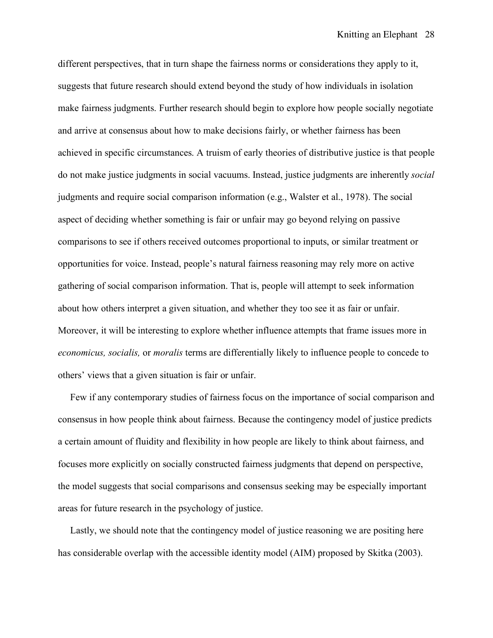different perspectives, that in turn shape the fairness norms or considerations they apply to it, suggests that future research should extend beyond the study of how individuals in isolation make fairness judgments. Further research should begin to explore how people socially negotiate and arrive at consensus about how to make decisions fairly, or whether fairness has been achieved in specific circumstances. A truism of early theories of distributive justice is that people do not make justice judgments in social vacuums. Instead, justice judgments are inherently *social* judgments and require social comparison information (e.g., Walster et al., 1978). The social aspect of deciding whether something is fair or unfair may go beyond relying on passive comparisons to see if others received outcomes proportional to inputs, or similar treatment or opportunities for voice. Instead, people's natural fairness reasoning may rely more on active gathering of social comparison information. That is, people will attempt to seek information about how others interpret a given situation, and whether they too see it as fair or unfair. Moreover, it will be interesting to explore whether influence attempts that frame issues more in *economicus, socialis,* or *moralis* terms are differentially likely to influence people to concede to others' views that a given situation is fair or unfair.

 Few if any contemporary studies of fairness focus on the importance of social comparison and consensus in how people think about fairness. Because the contingency model of justice predicts a certain amount of fluidity and flexibility in how people are likely to think about fairness, and focuses more explicitly on socially constructed fairness judgments that depend on perspective, the model suggests that social comparisons and consensus seeking may be especially important areas for future research in the psychology of justice.

 Lastly, we should note that the contingency model of justice reasoning we are positing here has considerable overlap with the accessible identity model (AIM) proposed by Skitka (2003).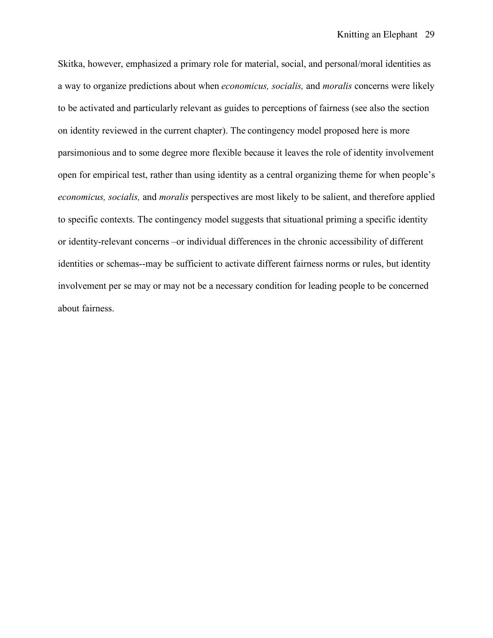Skitka, however, emphasized a primary role for material, social, and personal/moral identities as a way to organize predictions about when *economicus, socialis,* and *moralis* concerns were likely to be activated and particularly relevant as guides to perceptions of fairness (see also the section on identity reviewed in the current chapter). The contingency model proposed here is more parsimonious and to some degree more flexible because it leaves the role of identity involvement open for empirical test, rather than using identity as a central organizing theme for when people's *economicus, socialis,* and *moralis* perspectives are most likely to be salient, and therefore applied to specific contexts. The contingency model suggests that situational priming a specific identity or identity-relevant concerns –or individual differences in the chronic accessibility of different identities or schemas--may be sufficient to activate different fairness norms or rules, but identity involvement per se may or may not be a necessary condition for leading people to be concerned about fairness.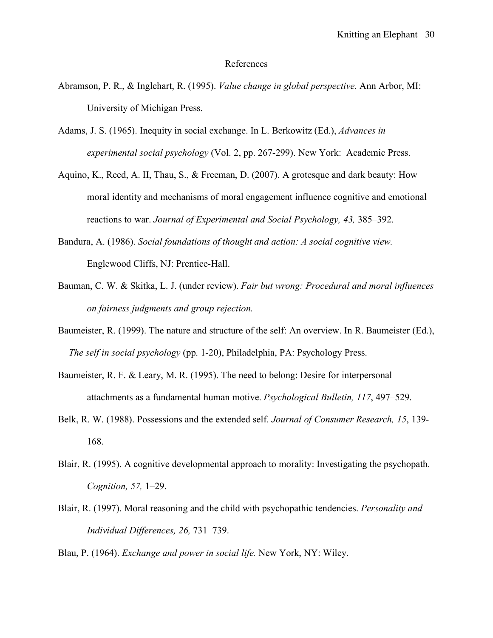### References

- Abramson, P. R., & Inglehart, R. (1995). *Value change in global perspective.* Ann Arbor, MI: University of Michigan Press.
- Adams, J. S. (1965). Inequity in social exchange. In L. Berkowitz (Ed.), *Advances in experimental social psychology* (Vol. 2, pp. 267-299). New York: Academic Press.
- Aquino, K., Reed, A. II, Thau, S., & Freeman, D. (2007). A grotesque and dark beauty: How moral identity and mechanisms of moral engagement influence cognitive and emotional reactions to war. *Journal of Experimental and Social Psychology, 43,* 385–392.
- Bandura, A. (1986). *Social foundations of thought and action: A social cognitive view.*  Englewood Cliffs, NJ: Prentice-Hall.
- Bauman, C. W. & Skitka, L. J. (under review). *Fair but wrong: Procedural and moral influences on fairness judgments and group rejection.*
- Baumeister, R. (1999). The nature and structure of the self: An overview. In R. Baumeister (Ed.), *The self in social psychology* (pp. 1-20), Philadelphia, PA: Psychology Press.
- Baumeister, R. F. & Leary, M. R. (1995). The need to belong: Desire for interpersonal attachments as a fundamental human motive. *Psychological Bulletin, 117*, 497–529.
- Belk, R. W. (1988). Possessions and the extended self*. Journal of Consumer Research, 15*, 139- 168.
- Blair, R. (1995). A cognitive developmental approach to morality: Investigating the psychopath. *Cognition, 57,* 1–29.
- Blair, R. (1997). Moral reasoning and the child with psychopathic tendencies. *Personality and Individual Differences, 26,* 731–739.

Blau, P. (1964). *Exchange and power in social life.* New York, NY: Wiley.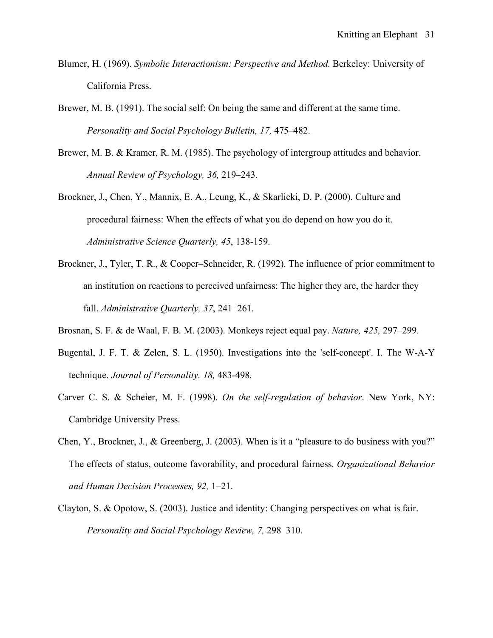- Blumer, H. (1969). *Symbolic Interactionism: Perspective and Method.* Berkeley: University of California Press.
- Brewer, M. B. (1991). The social self: On being the same and different at the same time. *Personality and Social Psychology Bulletin, 17,* 475–482.
- Brewer, M. B. & Kramer, R. M. (1985). The psychology of intergroup attitudes and behavior. *Annual Review of Psychology, 36,* 219–243.
- Brockner, J., Chen, Y., Mannix, E. A., Leung, K., & Skarlicki, D. P. (2000). Culture and procedural fairness: When the effects of what you do depend on how you do it. *Administrative Science Quarterly, 45*, 138-159.
- Brockner, J., Tyler, T. R., & Cooper–Schneider, R. (1992). The influence of prior commitment to an institution on reactions to perceived unfairness: The higher they are, the harder they fall. *Administrative Quarterly, 37*, 241–261.
- Brosnan, S. F. & de Waal, F. B. M. (2003). Monkeys reject equal pay. *Nature, 425,* 297–299.
- Bugental, J. F. T. & Zelen, S. L. (1950). Investigations into the 'self-concept'. I. The W-A-Y technique. *Journal of Personality. 18,* 483-498*.*
- Carver C. S. & Scheier, M. F. (1998). *On the self-regulation of behavior*. New York, NY: Cambridge University Press.
- Chen, Y., Brockner, J., & Greenberg, J. (2003). When is it a "pleasure to do business with you?" The effects of status, outcome favorability, and procedural fairness. *Organizational Behavior and Human Decision Processes, 92,* 1–21.
- Clayton, S. & Opotow, S. (2003). Justice and identity: Changing perspectives on what is fair. *Personality and Social Psychology Review, 7,* 298–310.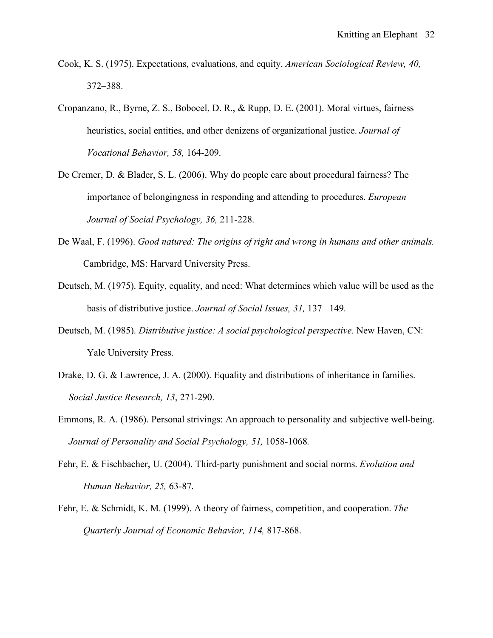- Cook, K. S. (1975). Expectations, evaluations, and equity. *American Sociological Review, 40,* 372–388.
- Cropanzano, R., Byrne, Z. S., Bobocel, D. R., & Rupp, D. E. (2001). Moral virtues, fairness heuristics, social entities, and other denizens of organizational justice. *Journal of Vocational Behavior, 58,* 164-209.
- De Cremer, D. & Blader, S. L. (2006). Why do people care about procedural fairness? The importance of belongingness in responding and attending to procedures. *European Journal of Social Psychology, 36,* 211-228.
- De Waal, F. (1996). *Good natured: The origins of right and wrong in humans and other animals.* Cambridge, MS: Harvard University Press.
- Deutsch, M. (1975). Equity, equality, and need: What determines which value will be used as the basis of distributive justice. *Journal of Social Issues, 31,* 137 –149.
- Deutsch, M. (1985). *Distributive justice: A social psychological perspective.* New Haven, CN: Yale University Press.
- Drake, D. G. & Lawrence, J. A. (2000). Equality and distributions of inheritance in families. *Social Justice Research, 13*, 271-290.
- Emmons, R. A. (1986). Personal strivings: An approach to personality and subjective well-being. *Journal of Personality and Social Psychology, 51,* 1058-1068*.*
- Fehr, E. & Fischbacher, U. (2004). Third-party punishment and social norms. *Evolution and Human Behavior, 25,* 63-87.
- Fehr, E. & Schmidt, K. M. (1999). A theory of fairness, competition, and cooperation. *The Quarterly Journal of Economic Behavior, 114,* 817-868.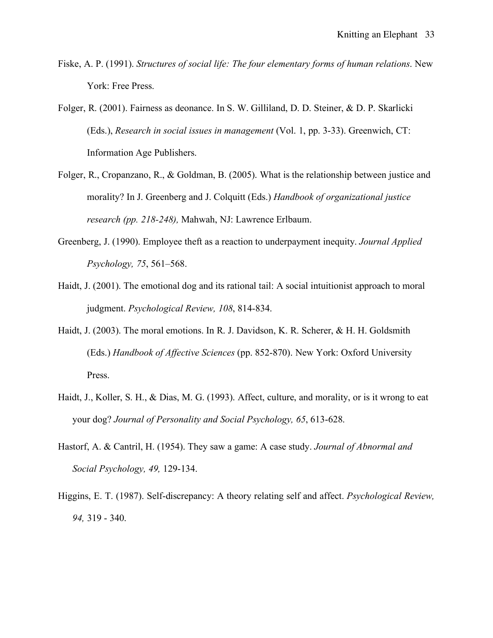- Fiske, A. P. (1991). *Structures of social life: The four elementary forms of human relations*. New York: Free Press.
- Folger, R. (2001). Fairness as deonance. In S. W. Gilliland, D. D. Steiner, & D. P. Skarlicki (Eds.), *Research in social issues in management* (Vol. 1, pp. 3-33). Greenwich, CT: Information Age Publishers.
- Folger, R., Cropanzano, R., & Goldman, B. (2005). What is the relationship between justice and morality? In J. Greenberg and J. Colquitt (Eds.) *Handbook of organizational justice research (pp. 218-248),* Mahwah, NJ: Lawrence Erlbaum.
- Greenberg, J. (1990). Employee theft as a reaction to underpayment inequity. *Journal Applied Psychology, 75*, 561–568.
- Haidt, J. (2001). The emotional dog and its rational tail: A social intuitionist approach to moral judgment. *Psychological Review, 108*, 814-834.
- Haidt, J. (2003). The moral emotions. In R. J. Davidson, K. R. Scherer, & H. H. Goldsmith (Eds.) *Handbook of Affective Sciences* (pp. 852-870). New York: Oxford University Press.
- Haidt, J., Koller, S. H., & Dias, M. G. (1993). Affect, culture, and morality, or is it wrong to eat your dog? *Journal of Personality and Social Psychology, 65*, 613-628.
- Hastorf, A. & Cantril, H. (1954). They saw a game: A case study. *Journal of Abnormal and Social Psychology, 49,* 129-134.
- Higgins, E. T. (1987). Self-discrepancy: A theory relating self and affect. *Psychological Review, 94,* 319 - 340.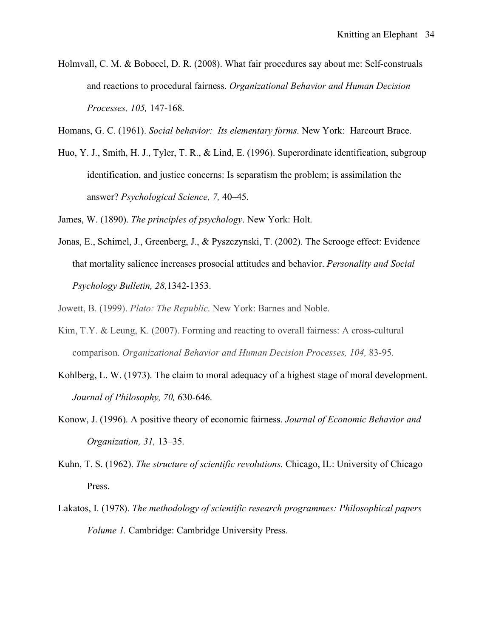Holmvall, C. M. & Bobocel, D. R. (2008). What fair procedures say about me: Self-construals and reactions to procedural fairness. *Organizational Behavior and Human Decision Processes, 105,* 147-168.

Homans, G. C. (1961). *Social behavior: Its elementary forms*. New York: Harcourt Brace.

Huo, Y. J., Smith, H. J., Tyler, T. R., & Lind, E. (1996). Superordinate identification, subgroup identification, and justice concerns: Is separatism the problem; is assimilation the answer? *Psychological Science, 7,* 40–45.

James, W. (1890). *The principles of psychology*. New York: Holt.

Jonas, E., Schimel, J., Greenberg, J., & Pyszczynski, T. (2002). The Scrooge effect: Evidence that mortality salience increases prosocial attitudes and behavior. *Personality and Social Psychology Bulletin, 28,*1342-1353.

Jowett, B. (1999). *Plato: The Republic*. New York: Barnes and Noble.

- Kim, T.Y. & Leung, K. (2007). Forming and reacting to overall fairness: A cross-cultural comparison. *Organizational Behavior and Human Decision Processes, 104,* 83-95.
- Kohlberg, L. W. (1973). The claim to moral adequacy of a highest stage of moral development. *Journal of Philosophy, 70,* 630-646.
- Konow, J. (1996). A positive theory of economic fairness. *Journal of Economic Behavior and Organization, 31,* 13–35.
- Kuhn, T. S. (1962). *The structure of scientific revolutions.* Chicago, IL: University of Chicago Press.
- Lakatos, I. (1978). *The methodology of scientific research programmes: Philosophical papers Volume 1.* Cambridge: Cambridge University Press.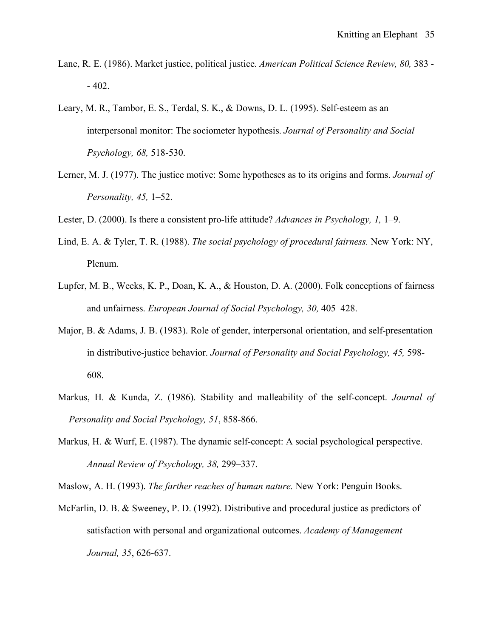- Lane, R. E. (1986). Market justice, political justice. *American Political Science Review, 80,* 383 - 402.
- Leary, M. R., Tambor, E. S., Terdal, S. K., & Downs, D. L. (1995). Self-esteem as an interpersonal monitor: The sociometer hypothesis. *Journal of Personality and Social Psychology, 68,* 518-530.
- Lerner, M. J. (1977). The justice motive: Some hypotheses as to its origins and forms. *Journal of Personality, 45,* 1–52.
- Lester, D. (2000). Is there a consistent pro-life attitude? *Advances in Psychology, 1,* 1–9.
- Lind, E. A. & Tyler, T. R. (1988). *The social psychology of procedural fairness.* New York: NY, Plenum.
- Lupfer, M. B., Weeks, K. P., Doan, K. A., & Houston, D. A. (2000). Folk conceptions of fairness and unfairness. *European Journal of Social Psychology, 30,* 405–428.
- Major, B. & Adams, J. B. (1983). Role of gender, interpersonal orientation, and self-presentation in distributive-justice behavior. *Journal of Personality and Social Psychology, 45,* 598- 608.
- Markus, H. & Kunda, Z. (1986). Stability and malleability of the self-concept. *Journal of Personality and Social Psychology, 51*, 858-866.
- Markus, H. & Wurf, E. (1987). The dynamic self-concept: A social psychological perspective. *Annual Review of Psychology, 38,* 299–337.

Maslow, A. H. (1993). *The farther reaches of human nature.* New York: Penguin Books.

McFarlin, D. B. & Sweeney, P. D. (1992). Distributive and procedural justice as predictors of satisfaction with personal and organizational outcomes. *Academy of Management Journal, 35*, 626-637.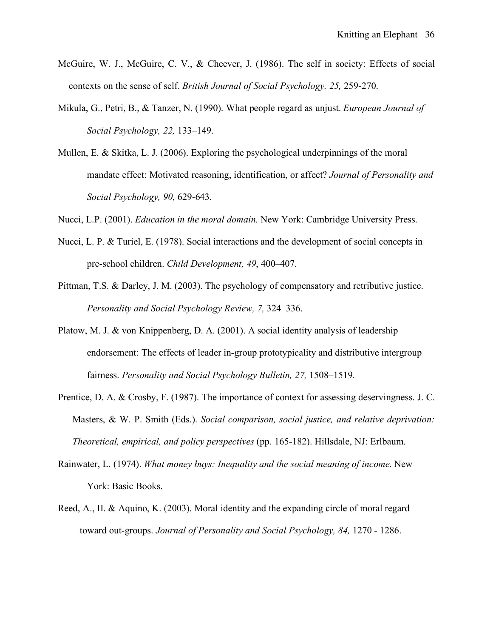- McGuire, W. J., McGuire, C. V., & Cheever, J. (1986). The self in society: Effects of social contexts on the sense of self. *British Journal of Social Psychology, 25,* 259-270.
- Mikula, G., Petri, B., & Tanzer, N. (1990). What people regard as unjust. *European Journal of Social Psychology, 22,* 133–149.
- Mullen, E. & Skitka, L. J. (2006). Exploring the psychological underpinnings of the moral mandate effect: Motivated reasoning, identification, or affect? *Journal of Personality and Social Psychology, 90,* 629-643*.*
- Nucci, L.P. (2001). *Education in the moral domain.* New York: Cambridge University Press.
- Nucci, L. P. & Turiel, E. (1978). Social interactions and the development of social concepts in pre-school children. *Child Development, 49*, 400–407.
- Pittman, T.S. & Darley, J. M. (2003). The psychology of compensatory and retributive justice. *Personality and Social Psychology Review, 7,* 324–336.
- Platow, M. J. & von Knippenberg, D. A. (2001). A social identity analysis of leadership endorsement: The effects of leader in-group prototypicality and distributive intergroup fairness. *Personality and Social Psychology Bulletin, 27,* 1508–1519.
- Prentice, D. A. & Crosby, F. (1987). The importance of context for assessing deservingness. J. C. Masters, & W. P. Smith (Eds.). *Social comparison, social justice, and relative deprivation: Theoretical, empirical, and policy perspectives* (pp. 165-182). Hillsdale, NJ: Erlbaum.
- Rainwater, L. (1974). *What money buys: Inequality and the social meaning of income.* New York: Basic Books.
- Reed, A., II. & Aquino, K. (2003). Moral identity and the expanding circle of moral regard toward out-groups. *Journal of Personality and Social Psychology, 84,* 1270 - 1286.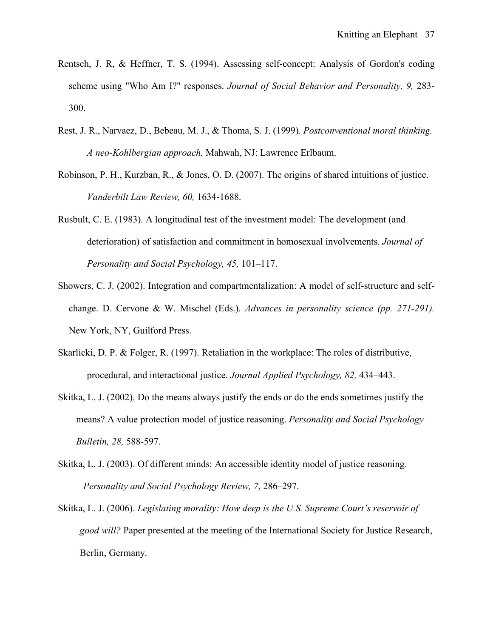- Rentsch, J. R, & Heffner, T. S. (1994). Assessing self-concept: Analysis of Gordon's coding scheme using "Who Am I?" responses. *Journal of Social Behavior and Personality, 9,* 283- 300.
- Rest, J. R., Narvaez, D., Bebeau, M. J., & Thoma, S. J. (1999). *Postconventional moral thinking. A neo-Kohlbergian approach.* Mahwah, NJ: Lawrence Erlbaum.
- Robinson, P. H., Kurzban, R., & Jones, O. D. (2007). The origins of shared intuitions of justice. *Vanderbilt Law Review, 60,* 1634-1688.
- Rusbult, C. E. (1983). A longitudinal test of the investment model: The development (and deterioration) of satisfaction and commitment in homosexual involvements. *Journal of Personality and Social Psychology, 45,* 101–117.
- Showers, C. J. (2002). Integration and compartmentalization: A model of self-structure and selfchange. D. Cervone & W. Mischel (Eds.). *Advances in personality science (pp. 271-291).*  New York, NY, Guilford Press.
- Skarlicki, D. P. & Folger, R. (1997). Retaliation in the workplace: The roles of distributive, procedural, and interactional justice. *Journal Applied Psychology, 82,* 434–443.
- Skitka, L. J. (2002). Do the means always justify the ends or do the ends sometimes justify the means? A value protection model of justice reasoning. *Personality and Social Psychology Bulletin, 28,* 588-597.
- Skitka, L. J. (2003). Of different minds: An accessible identity model of justice reasoning. *Personality and Social Psychology Review, 7*, 286–297.
- Skitka, L. J. (2006). *Legislating morality: How deep is the U.S. Supreme Court's reservoir of good will?* Paper presented at the meeting of the International Society for Justice Research, Berlin, Germany.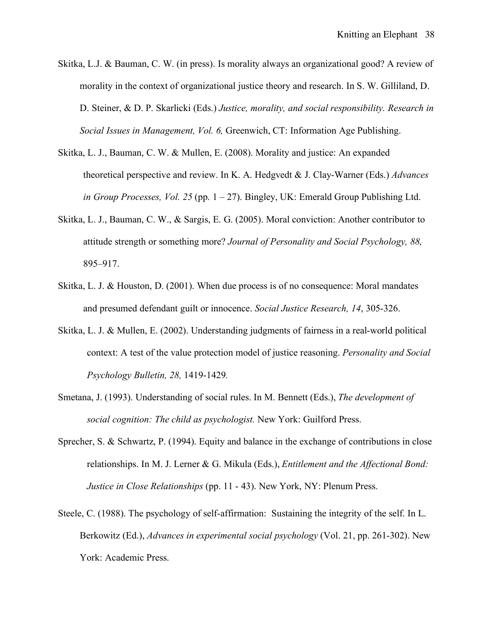- Skitka, L.J. & Bauman, C. W. (in press). Is morality always an organizational good? A review of morality in the context of organizational justice theory and research. In S. W. Gilliland, D. D. Steiner, & D. P. Skarlicki (Eds.) *Justice, morality, and social responsibility. Research in Social Issues in Management, Vol. 6,* Greenwich, CT: Information Age Publishing.
- Skitka, L. J., Bauman, C. W. & Mullen, E. (2008). Morality and justice: An expanded theoretical perspective and review. In K. A. Hedgvedt & J. Clay-Warner (Eds.) *Advances in Group Processes, Vol. 25* (pp. 1 – 27). Bingley, UK: Emerald Group Publishing Ltd.
- Skitka, L. J., Bauman, C. W., & Sargis, E. G. (2005). Moral conviction: Another contributor to attitude strength or something more? *Journal of Personality and Social Psychology, 88,* 895–917.
- Skitka, L. J. & Houston, D. (2001). When due process is of no consequence: Moral mandates and presumed defendant guilt or innocence. *Social Justice Research, 14*, 305-326.
- Skitka, L. J. & Mullen, E. (2002). Understanding judgments of fairness in a real-world political context: A test of the value protection model of justice reasoning. *Personality and Social Psychology Bulletin, 28,* 1419-1429*.*
- Smetana, J. (1993). Understanding of social rules. In M. Bennett (Eds.), *The development of social cognition: The child as psychologist.* New York: Guilford Press.
- Sprecher, S. & Schwartz, P. (1994). Equity and balance in the exchange of contributions in close relationships. In M. J. Lerner & G. Mikula (Eds.), *Entitlement and the Affectional Bond: Justice in Close Relationships* (pp. 11 - 43). New York, NY: Plenum Press.
- Steele, C. (1988). The psychology of self-affirmation: Sustaining the integrity of the self. In L. Berkowitz (Ed.), *Advances in experimental social psychology* (Vol. 21, pp. 261-302). New York: Academic Press.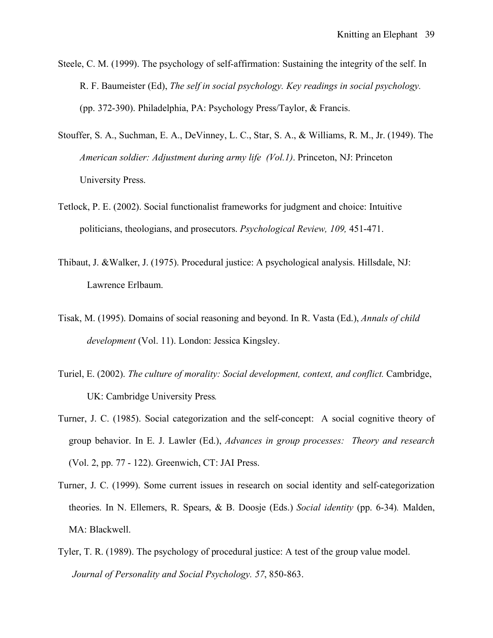- Steele, C. M. (1999). The psychology of self-affirmation: Sustaining the integrity of the self. In R. F. Baumeister (Ed), *The self in social psychology. Key readings in social psychology.* (pp. 372-390). Philadelphia, PA: Psychology Press/Taylor, & Francis.
- Stouffer, S. A., Suchman, E. A., DeVinney, L. C., Star, S. A., & Williams, R. M., Jr. (1949). The *American soldier: Adjustment during army life (Vol.1)*. Princeton, NJ: Princeton University Press.
- Tetlock, P. E. (2002). Social functionalist frameworks for judgment and choice: Intuitive politicians, theologians, and prosecutors. *Psychological Review, 109,* 451-471.
- Thibaut, J. &Walker, J. (1975). Procedural justice: A psychological analysis. Hillsdale, NJ: Lawrence Erlbaum.
- Tisak, M. (1995). Domains of social reasoning and beyond. In R. Vasta (Ed.), *Annals of child development* (Vol. 11). London: Jessica Kingsley.
- Turiel, E. (2002). *The culture of morality: Social development, context, and conflict.* Cambridge, UK: Cambridge University Press*.*
- Turner, J. C. (1985). Social categorization and the self-concept: A social cognitive theory of group behavior. In E. J. Lawler (Ed.), *Advances in group processes: Theory and research* (Vol. 2, pp. 77 - 122). Greenwich, CT: JAI Press.
- Turner, J. C. (1999). Some current issues in research on social identity and self-categorization theories. In N. Ellemers, R. Spears, & B. Doosje (Eds.) *Social identity* (pp. 6-34)*.* Malden, MA: Blackwell.
- Tyler, T. R. (1989). The psychology of procedural justice: A test of the group value model. *Journal of Personality and Social Psychology. 57*, 850-863.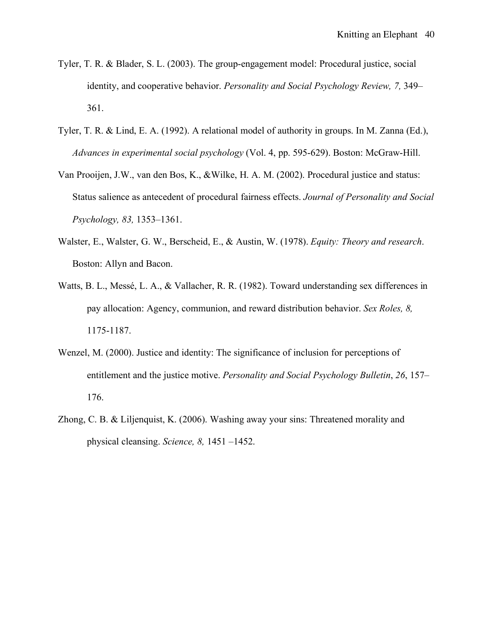- Tyler, T. R. & Blader, S. L. (2003). The group-engagement model: Procedural justice, social identity, and cooperative behavior. *Personality and Social Psychology Review, 7,* 349– 361.
- Tyler, T. R. & Lind, E. A. (1992). A relational model of authority in groups. In M. Zanna (Ed.), *Advances in experimental social psychology* (Vol. 4, pp. 595-629). Boston: McGraw-Hill.
- Van Prooijen, J.W., van den Bos, K., &Wilke, H. A. M. (2002). Procedural justice and status: Status salience as antecedent of procedural fairness effects. *Journal of Personality and Social Psychology, 83,* 1353–1361.
- Walster, E., Walster, G. W., Berscheid, E., & Austin, W. (1978). *Equity: Theory and research*. Boston: Allyn and Bacon.
- Watts, B. L., Messé, L. A., & Vallacher, R. R. (1982). Toward understanding sex differences in pay allocation: Agency, communion, and reward distribution behavior. *Sex Roles, 8,* 1175-1187.
- Wenzel, M. (2000). Justice and identity: The significance of inclusion for perceptions of entitlement and the justice motive. *Personality and Social Psychology Bulletin*, *26*, 157– 176.
- Zhong, C. B. & Liljenquist, K. (2006). Washing away your sins: Threatened morality and physical cleansing. *Science, 8,* 1451 –1452.